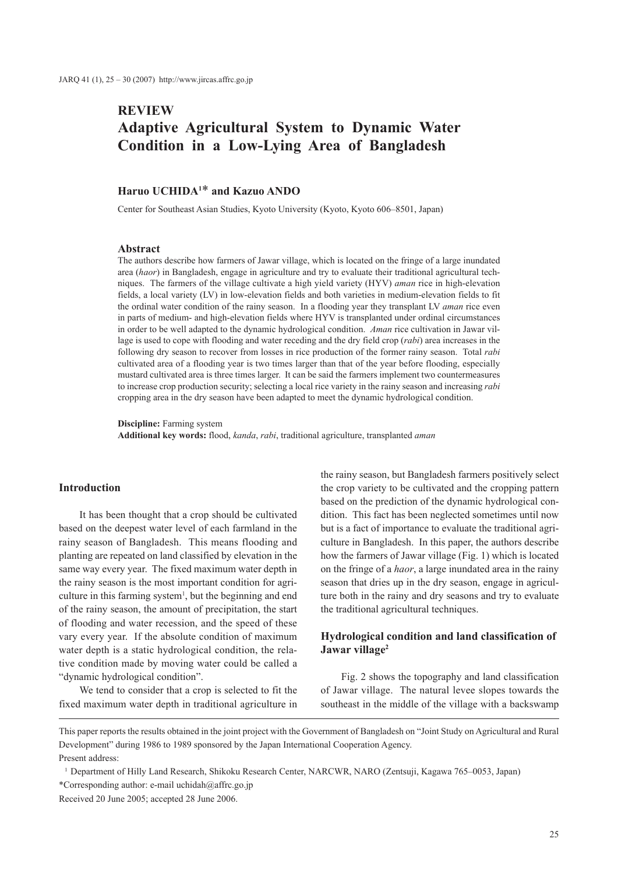# **REVIEW Adaptive Agricultural System to Dynamic Water Condition in a Low-Lying Area of Bangladesh**

# **Haruo UCHIDA1** \* **and Kazuo ANDO**

Center for Southeast Asian Studies, Kyoto University (Kyoto, Kyoto 606–8501, Japan)

#### **Abstract**

The authors describe how farmers of Jawar village, which is located on the fringe of a large inundated area (*haor*) in Bangladesh, engage in agriculture and try to evaluate their traditional agricultural techniques. The farmers of the village cultivate a high yield variety (HYV) *aman* rice in high-elevation fields, a local variety (LV) in low-elevation fields and both varieties in medium-elevation fields to fit the ordinal water condition of the rainy season. In a flooding year they transplant LV *aman* rice even in parts of medium- and high-elevation fields where HYV is transplanted under ordinal circumstances in order to be well adapted to the dynamic hydrological condition. *Aman* rice cultivation in Jawar village is used to cope with flooding and water receding and the dry field crop (*rabi*) area increases in the following dry season to recover from losses in rice production of the former rainy season. Total *rabi* cultivated area of a flooding year is two times larger than that of the year before flooding, especially mustard cultivated area is three times larger. It can be said the farmers implement two countermeasures to increase crop production security; selecting a local rice variety in the rainy season and increasing *rabi* cropping area in the dry season have been adapted to meet the dynamic hydrological condition.

**Discipline:** Farming system **Additional key words:** flood, *kanda*, *rabi*, traditional agriculture, transplanted *aman*

#### **Introduction**

It has been thought that a crop should be cultivated based on the deepest water level of each farmland in the rainy season of Bangladesh. This means flooding and planting are repeated on land classified by elevation in the same way every year. The fixed maximum water depth in the rainy season is the most important condition for agriculture in this farming system<sup>1</sup>, but the beginning and end of the rainy season, the amount of precipitation, the start of flooding and water recession, and the speed of these vary every year. If the absolute condition of maximum water depth is a static hydrological condition, the relative condition made by moving water could be called a "dynamic hydrological condition".

We tend to consider that a crop is selected to fit the fixed maximum water depth in traditional agriculture in

the rainy season, but Bangladesh farmers positively select the crop variety to be cultivated and the cropping pattern based on the prediction of the dynamic hydrological condition. This fact has been neglected sometimes until now but is a fact of importance to evaluate the traditional agriculture in Bangladesh. In this paper, the authors describe how the farmers of Jawar village (Fig. 1) which is located on the fringe of a *haor*, a large inundated area in the rainy season that dries up in the dry season, engage in agriculture both in the rainy and dry seasons and try to evaluate the traditional agricultural techniques.

## **Hydrological condition and land classification of Jawar village2**

Fig. 2 shows the topography and land classification of Jawar village. The natural levee slopes towards the southeast in the middle of the village with a backswamp

This paper reports the results obtained in the joint project with the Government of Bangladesh on "Joint Study on Agricultural and Rural Development" during 1986 to 1989 sponsored by the Japan International Cooperation Agency. Present address:

<sup>1</sup> Department of Hilly Land Research, Shikoku Research Center, NARCWR, NARO (Zentsuji, Kagawa 765–0053, Japan) \*Corresponding author: e-mail uchidah@affrc.go.jp

Received 20 June 2005; accepted 28 June 2006.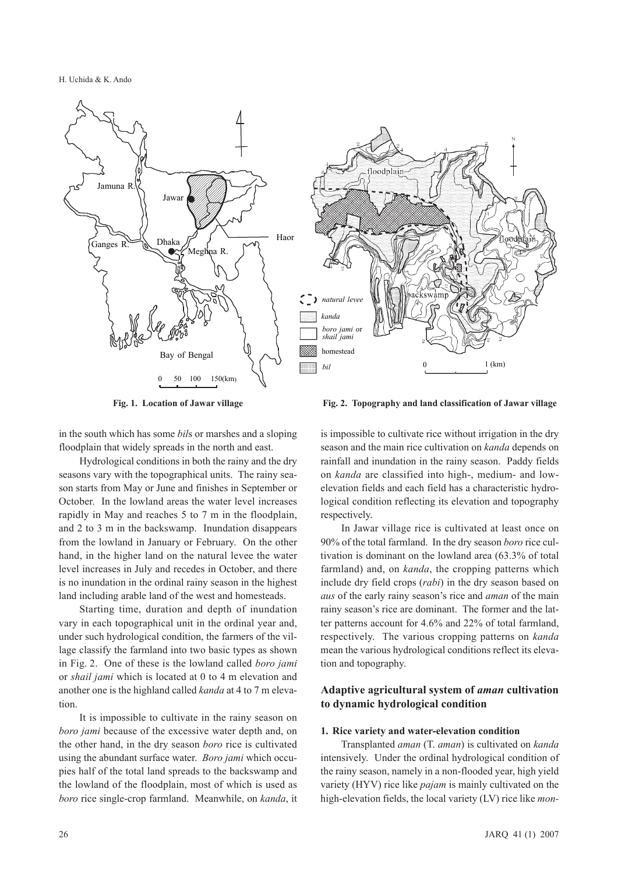H. Uchida & K. Ando



**Fig. 1. Location of Jawar village Fig. 2. Topography and land classification of Jawar village**

in the south which has some *bil*s or marshes and a sloping floodplain that widely spreads in the north and east.

Hydrological conditions in both the rainy and the dry seasons vary with the topographical units. The rainy season starts from May or June and finishes in September or October. In the lowland areas the water level increases rapidly in May and reaches 5 to 7 m in the floodplain, and 2 to 3 m in the backswamp. Inundation disappears from the lowland in January or February. On the other hand, in the higher land on the natural levee the water level increases in July and recedes in October, and there is no inundation in the ordinal rainy season in the highest land including arable land of the west and homesteads.

Starting time, duration and depth of inundation vary in each topographical unit in the ordinal year and, under such hydrological condition, the farmers of the village classify the farmland into two basic types as shown in Fig. 2. One of these is the lowland called *boro jami* or *shail jami* which is located at 0 to 4 m elevation and another one is the highland called *kanda* at 4 to 7 m elevation.

It is impossible to cultivate in the rainy season on *boro jami* because of the excessive water depth and, on the other hand, in the dry season *boro* rice is cultivated using the abundant surface water. *Boro jami* which occupies half of the total land spreads to the backswamp and the lowland of the floodplain, most of which is used as *boro* rice single-crop farmland. Meanwhile, on *kanda*, it

is impossible to cultivate rice without irrigation in the dry season and the main rice cultivation on *kanda* depends on rainfall and inundation in the rainy season. Paddy fields on *kanda* are classified into high-, medium- and lowelevation fields and each field has a characteristic hydrological condition reflecting its elevation and topography respectively.

In Jawar village rice is cultivated at least once on 90% of the total farmland. In the dry season *boro* rice cultivation is dominant on the lowland area (63.3% of total farmland) and, on *kanda*, the cropping patterns which include dry field crops (*rabi*) in the dry season based on *aus* of the early rainy season's rice and *aman* of the main rainy season's rice are dominant. The former and the latter patterns account for 4.6% and 22% of total farmland, respectively. The various cropping patterns on *kanda* mean the various hydrological conditions reflect its elevation and topography.

## **Adaptive agricultural system of** *aman* **cultivation to dynamic hydrological condition**

### **1. Rice variety and water-elevation condition**

Transplanted *aman* (T. *aman*) is cultivated on *kanda* intensively. Under the ordinal hydrological condition of the rainy season, namely in a non-flooded year, high yield variety (HYV) rice like *pajam* is mainly cultivated on the high-elevation fields, the local variety (LV) rice like *mon-*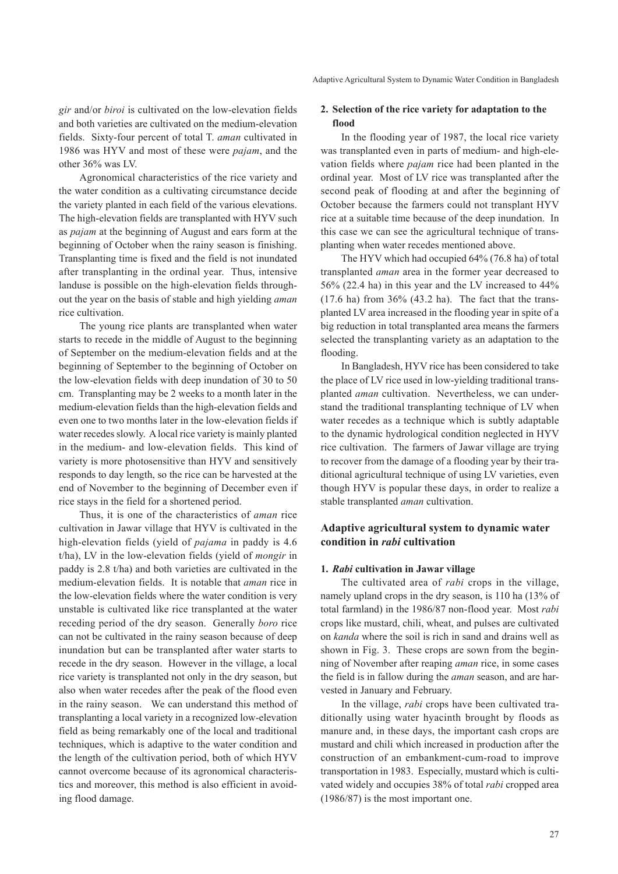*gir* and/or *biroi* is cultivated on the low-elevation fields and both varieties are cultivated on the medium-elevation fields. Sixty-four percent of total T. *aman* cultivated in 1986 was HYV and most of these were *pajam*, and the other 36% was LV.

Agronomical characteristics of the rice variety and the water condition as a cultivating circumstance decide the variety planted in each field of the various elevations. The high-elevation fields are transplanted with HYV such as *pajam* at the beginning of August and ears form at the beginning of October when the rainy season is finishing. Transplanting time is fixed and the field is not inundated after transplanting in the ordinal year. Thus, intensive landuse is possible on the high-elevation fields throughout the year on the basis of stable and high yielding *aman* rice cultivation.

The young rice plants are transplanted when water starts to recede in the middle of August to the beginning of September on the medium-elevation fields and at the beginning of September to the beginning of October on the low-elevation fields with deep inundation of 30 to 50 cm. Transplanting may be 2 weeks to a month later in the medium-elevation fields than the high-elevation fields and even one to two months later in the low-elevation fields if water recedes slowly. A local rice variety is mainly planted in the medium- and low-elevation fields. This kind of variety is more photosensitive than HYV and sensitively responds to day length, so the rice can be harvested at the end of November to the beginning of December even if rice stays in the field for a shortened period.

Thus, it is one of the characteristics of *aman* rice cultivation in Jawar village that HYV is cultivated in the high-elevation fields (yield of *pajama* in paddy is 4.6 t/ha), LV in the low-elevation fields (yield of *mongir* in paddy is 2.8 t/ha) and both varieties are cultivated in the medium-elevation fields. It is notable that *aman* rice in the low-elevation fields where the water condition is very unstable is cultivated like rice transplanted at the water receding period of the dry season. Generally *boro* rice can not be cultivated in the rainy season because of deep inundation but can be transplanted after water starts to recede in the dry season. However in the village, a local rice variety is transplanted not only in the dry season, but also when water recedes after the peak of the flood even in the rainy season. We can understand this method of transplanting a local variety in a recognized low-elevation field as being remarkably one of the local and traditional techniques, which is adaptive to the water condition and the length of the cultivation period, both of which HYV cannot overcome because of its agronomical characteristics and moreover, this method is also efficient in avoiding flood damage.

#### **2. Selection of the rice variety for adaptation to the flood**

In the flooding year of 1987, the local rice variety was transplanted even in parts of medium- and high-elevation fields where *pajam* rice had been planted in the ordinal year. Most of LV rice was transplanted after the second peak of flooding at and after the beginning of October because the farmers could not transplant HYV rice at a suitable time because of the deep inundation. In this case we can see the agricultural technique of transplanting when water recedes mentioned above.

The HYV which had occupied 64% (76.8 ha) of total transplanted *aman* area in the former year decreased to 56% (22.4 ha) in this year and the LV increased to 44% (17.6 ha) from 36% (43.2 ha). The fact that the transplanted LV area increased in the flooding year in spite of a big reduction in total transplanted area means the farmers selected the transplanting variety as an adaptation to the flooding.

In Bangladesh, HYV rice has been considered to take the place of LV rice used in low-yielding traditional transplanted *aman* cultivation. Nevertheless, we can understand the traditional transplanting technique of LV when water recedes as a technique which is subtly adaptable to the dynamic hydrological condition neglected in HYV rice cultivation. The farmers of Jawar village are trying to recover from the damage of a flooding year by their traditional agricultural technique of using LV varieties, even though HYV is popular these days, in order to realize a stable transplanted *aman* cultivation.

## **Adaptive agricultural system to dynamic water condition in** *rabi* **cultivation**

#### **1.** *Rabi* **cultivation in Jawar village**

The cultivated area of *rabi* crops in the village, namely upland crops in the dry season, is 110 ha (13% of total farmland) in the 1986/87 non-flood year. Most *rabi* crops like mustard, chili, wheat, and pulses are cultivated on *kanda* where the soil is rich in sand and drains well as shown in Fig. 3. These crops are sown from the beginning of November after reaping *aman* rice, in some cases the field is in fallow during the *aman* season, and are harvested in January and February.

In the village, *rabi* crops have been cultivated traditionally using water hyacinth brought by floods as manure and, in these days, the important cash crops are mustard and chili which increased in production after the construction of an embankment-cum-road to improve transportation in 1983. Especially, mustard which is cultivated widely and occupies 38% of total *rabi* cropped area (1986/87) is the most important one.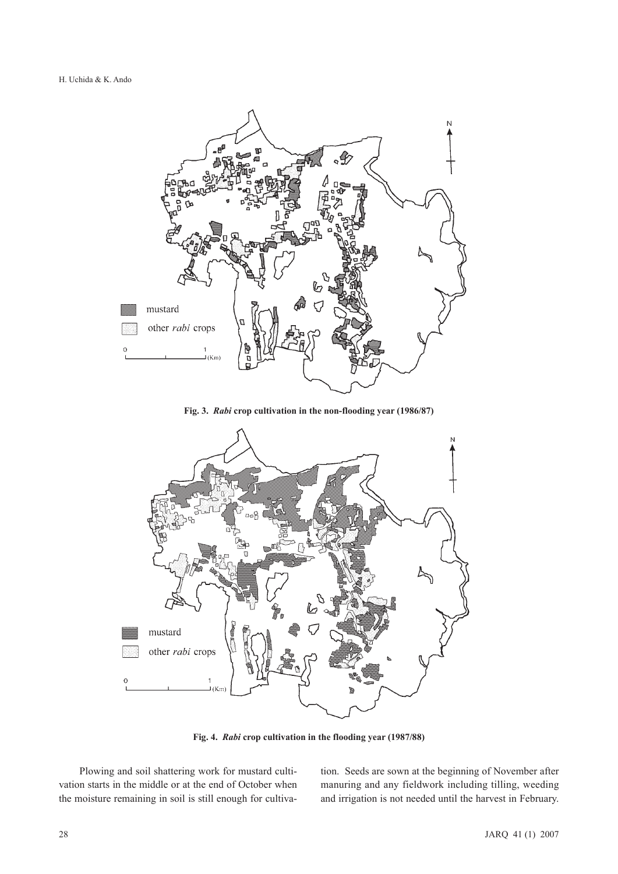

**Fig. 3.** *Rabi* **crop cultivation in the non-flooding year (1986/87)**



**Fig. 4.** *Rabi* **crop cultivation in the flooding year (1987/88)**

Plowing and soil shattering work for mustard cultivation starts in the middle or at the end of October when the moisture remaining in soil is still enough for cultivation. Seeds are sown at the beginning of November after manuring and any fieldwork including tilling, weeding and irrigation is not needed until the harvest in February.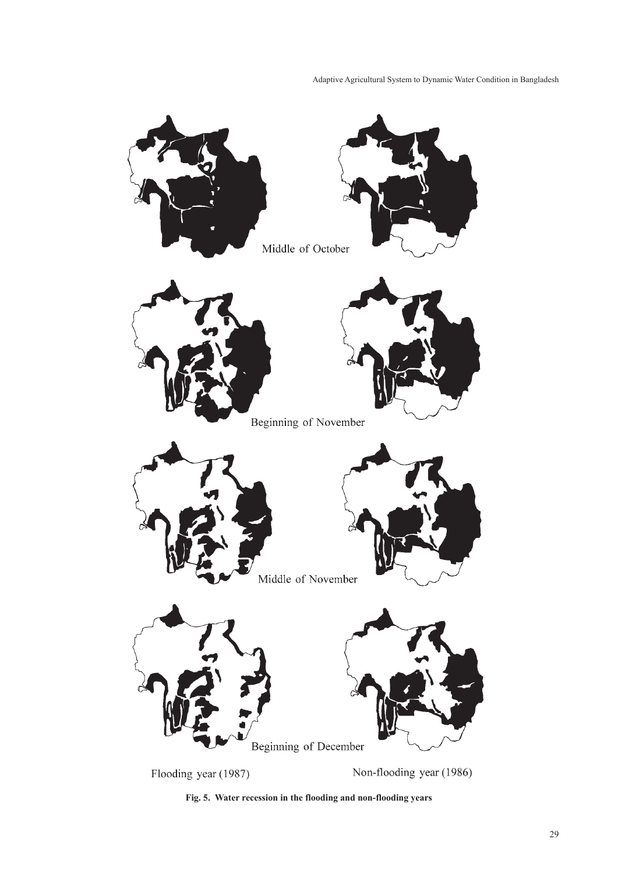Adaptive Agricultural System to Dynamic Water Condition in Bangladesh



**Fig. 5. Water recession in the flooding and non-flooding years**